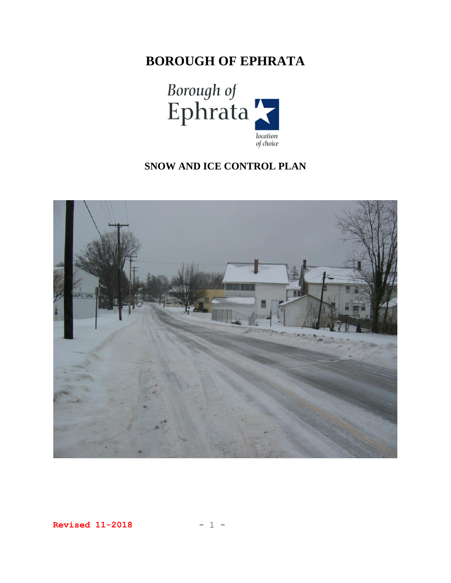# **BOROUGH OF EPHRATA**



## **SNOW AND ICE CONTROL PLAN**



**Revised 11-2018** - 1 -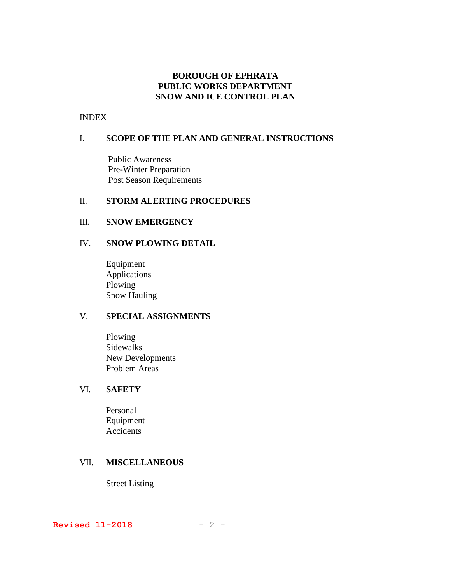## **BOROUGH OF EPHRATA PUBLIC WORKS DEPARTMENT SNOW AND ICE CONTROL PLAN**

#### INDEX

## I. **SCOPE OF THE PLAN AND GENERAL INSTRUCTIONS**

Public Awareness Pre-Winter Preparation Post Season Requirements

#### II. **STORM ALERTING PROCEDURES**

#### III. **SNOW EMERGENCY**

## IV. **SNOW PLOWING DETAIL**

Equipment Applications Plowing Snow Hauling

## V. **SPECIAL ASSIGNMENTS**

Plowing Sidewalks New Developments Problem Areas

## VI. **SAFETY**

Personal Equipment Accidents

## VII. **MISCELLANEOUS**

Street Listing

**Revised 11-2018** - 2 -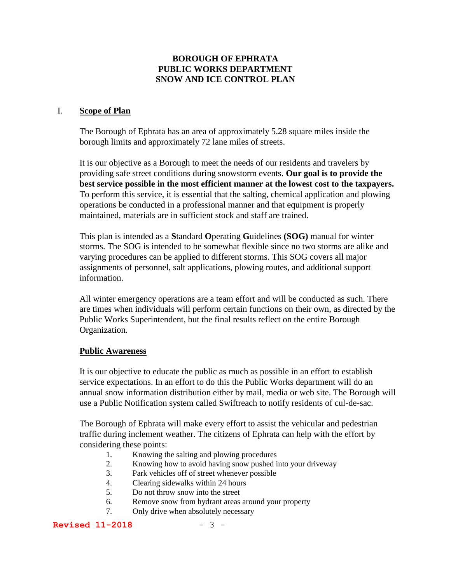## **BOROUGH OF EPHRATA PUBLIC WORKS DEPARTMENT SNOW AND ICE CONTROL PLAN**

#### I. **Scope of Plan**

The Borough of Ephrata has an area of approximately 5.28 square miles inside the borough limits and approximately 72 lane miles of streets.

It is our objective as a Borough to meet the needs of our residents and travelers by providing safe street conditions during snowstorm events. **Our goal is to provide the best service possible in the most efficient manner at the lowest cost to the taxpayers.** To perform this service, it is essential that the salting, chemical application and plowing operations be conducted in a professional manner and that equipment is properly maintained, materials are in sufficient stock and staff are trained.

This plan is intended as a **S**tandard **O**perating **G**uidelines **(SOG)** manual for winter storms. The SOG is intended to be somewhat flexible since no two storms are alike and varying procedures can be applied to different storms. This SOG covers all major assignments of personnel, salt applications, plowing routes, and additional support information.

All winter emergency operations are a team effort and will be conducted as such. There are times when individuals will perform certain functions on their own, as directed by the Public Works Superintendent, but the final results reflect on the entire Borough Organization.

#### **Public Awareness**

It is our objective to educate the public as much as possible in an effort to establish service expectations. In an effort to do this the Public Works department will do an annual snow information distribution either by mail, media or web site. The Borough will use a Public Notification system called Swiftreach to notify residents of cul-de-sac.

The Borough of Ephrata will make every effort to assist the vehicular and pedestrian traffic during inclement weather. The citizens of Ephrata can help with the effort by considering these points:

- 1. Knowing the salting and plowing procedures
- 2. Knowing how to avoid having snow pushed into your driveway
- 3. Park vehicles off of street whenever possible
- 4. Clearing sidewalks within 24 hours
- 5. Do not throw snow into the street
- 6. Remove snow from hydrant areas around your property
- 7. Only drive when absolutely necessary

#### **Revised 11-2018** - 3 -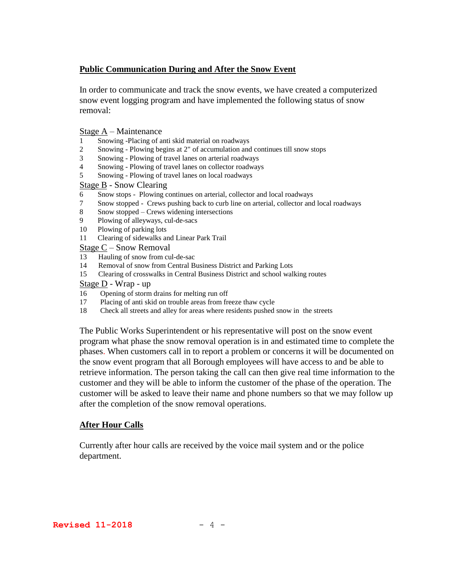## **Public Communication During and After the Snow Event**

In order to communicate and track the snow events, we have created a computerized snow event logging program and have implemented the following status of snow removal:

#### Stage A – Maintenance

- 1 Snowing -Placing of anti skid material on roadways
- 2 Snowing Plowing begins at 2" of accumulation and continues till snow stops
- 3 Snowing Plowing of travel lanes on arterial roadways
- 4 Snowing Plowing of travel lanes on collector roadways
- 5 Snowing Plowing of travel lanes on local roadways

#### Stage B - Snow Clearing

- 6 Snow stops Plowing continues on arterial, collector and local roadways
- 7 Snow stopped Crews pushing back to curb line on arterial, collector and local roadways
- 8 Snow stopped Crews widening intersections
- 9 Plowing of alleyways, cul-de-sacs
- 10 Plowing of parking lots
- 11 Clearing of sidewalks and Linear Park Trail

Stage C – Snow Removal

- 13 Hauling of snow from cul-de-sac
- 14 Removal of snow from Central Business District and Parking Lots
- 15 Clearing of crosswalks in Central Business District and school walking routes

#### Stage D - Wrap - up

- 16 Opening of storm drains for melting run off
- 17 Placing of anti skid on trouble areas from freeze thaw cycle
- 18 Check all streets and alley for areas where residents pushed snow in the streets

The Public Works Superintendent or his representative will post on the snow event program what phase the snow removal operation is in and estimated time to complete the phases. When customers call in to report a problem or concerns it will be documented on the snow event program that all Borough employees will have access to and be able to retrieve information. The person taking the call can then give real time information to the customer and they will be able to inform the customer of the phase of the operation. The customer will be asked to leave their name and phone numbers so that we may follow up after the completion of the snow removal operations.

#### **After Hour Calls**

Currently after hour calls are received by the voice mail system and or the police department.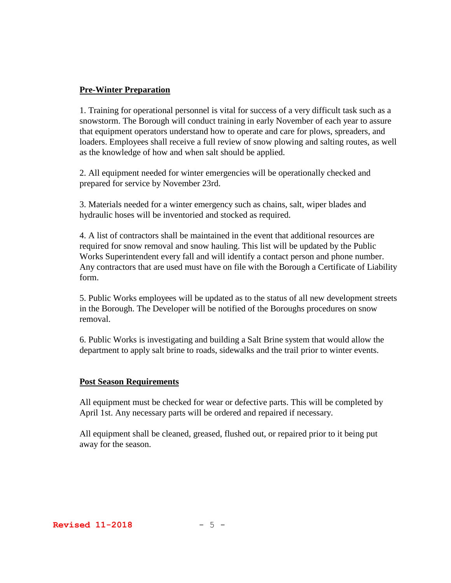## **Pre-Winter Preparation**

1. Training for operational personnel is vital for success of a very difficult task such as a snowstorm. The Borough will conduct training in early November of each year to assure that equipment operators understand how to operate and care for plows, spreaders, and loaders. Employees shall receive a full review of snow plowing and salting routes, as well as the knowledge of how and when salt should be applied.

2. All equipment needed for winter emergencies will be operationally checked and prepared for service by November 23rd.

3. Materials needed for a winter emergency such as chains, salt, wiper blades and hydraulic hoses will be inventoried and stocked as required.

4. A list of contractors shall be maintained in the event that additional resources are required for snow removal and snow hauling. This list will be updated by the Public Works Superintendent every fall and will identify a contact person and phone number. Any contractors that are used must have on file with the Borough a Certificate of Liability form.

5. Public Works employees will be updated as to the status of all new development streets in the Borough. The Developer will be notified of the Boroughs procedures on snow removal.

6. Public Works is investigating and building a Salt Brine system that would allow the department to apply salt brine to roads, sidewalks and the trail prior to winter events.

#### **Post Season Requirements**

All equipment must be checked for wear or defective parts. This will be completed by April 1st. Any necessary parts will be ordered and repaired if necessary.

All equipment shall be cleaned, greased, flushed out, or repaired prior to it being put away for the season.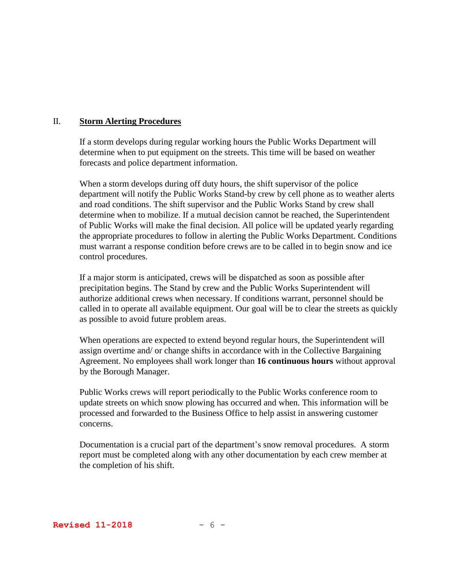## II. **Storm Alerting Procedures**

If a storm develops during regular working hours the Public Works Department will determine when to put equipment on the streets. This time will be based on weather forecasts and police department information.

When a storm develops during off duty hours, the shift supervisor of the police department will notify the Public Works Stand-by crew by cell phone as to weather alerts and road conditions. The shift supervisor and the Public Works Stand by crew shall determine when to mobilize. If a mutual decision cannot be reached, the Superintendent of Public Works will make the final decision. All police will be updated yearly regarding the appropriate procedures to follow in alerting the Public Works Department. Conditions must warrant a response condition before crews are to be called in to begin snow and ice control procedures.

If a major storm is anticipated, crews will be dispatched as soon as possible after precipitation begins. The Stand by crew and the Public Works Superintendent will authorize additional crews when necessary. If conditions warrant, personnel should be called in to operate all available equipment. Our goal will be to clear the streets as quickly as possible to avoid future problem areas.

When operations are expected to extend beyond regular hours, the Superintendent will assign overtime and/ or change shifts in accordance with in the Collective Bargaining Agreement. No employees shall work longer than **16 continuous hours** without approval by the Borough Manager.

Public Works crews will report periodically to the Public Works conference room to update streets on which snow plowing has occurred and when. This information will be processed and forwarded to the Business Office to help assist in answering customer concerns.

Documentation is a crucial part of the department's snow removal procedures. A storm report must be completed along with any other documentation by each crew member at the completion of his shift.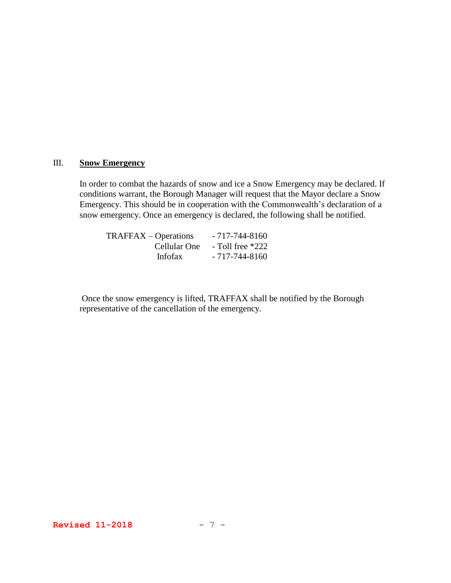## III. **Snow Emergency**

In order to combat the hazards of snow and ice a Snow Emergency may be declared. If conditions warrant, the Borough Manager will request that the Mayor declare a Snow Emergency. This should be in cooperation with the Commonwealth's declaration of a snow emergency. Once an emergency is declared, the following shall be notified.

| $TRAFFAX – Operations$ | $-717 - 744 - 8160$  |
|------------------------|----------------------|
| Cellular One           | $-$ Toll free $*222$ |
| <b>Infofax</b>         | $-717 - 744 - 8160$  |

Once the snow emergency is lifted, TRAFFAX shall be notified by the Borough representative of the cancellation of the emergency.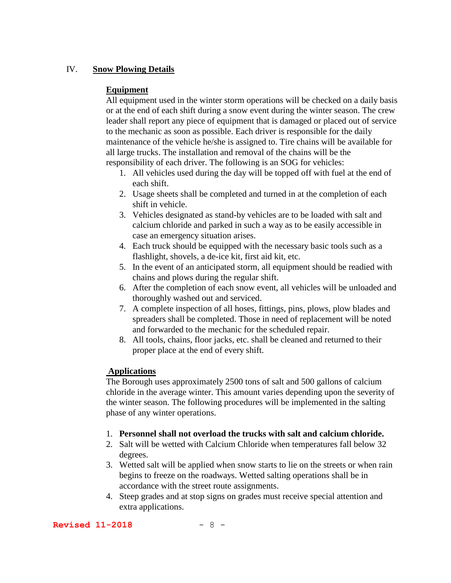## IV. **Snow Plowing Details**

## **Equipment**

All equipment used in the winter storm operations will be checked on a daily basis or at the end of each shift during a snow event during the winter season. The crew leader shall report any piece of equipment that is damaged or placed out of service to the mechanic as soon as possible. Each driver is responsible for the daily maintenance of the vehicle he/she is assigned to. Tire chains will be available for all large trucks. The installation and removal of the chains will be the responsibility of each driver. The following is an SOG for vehicles:

- 1. All vehicles used during the day will be topped off with fuel at the end of each shift.
- 2. Usage sheets shall be completed and turned in at the completion of each shift in vehicle.
- 3. Vehicles designated as stand-by vehicles are to be loaded with salt and calcium chloride and parked in such a way as to be easily accessible in case an emergency situation arises.
- 4. Each truck should be equipped with the necessary basic tools such as a flashlight, shovels, a de-ice kit, first aid kit, etc.
- 5. In the event of an anticipated storm, all equipment should be readied with chains and plows during the regular shift.
- 6. After the completion of each snow event, all vehicles will be unloaded and thoroughly washed out and serviced.
- 7. A complete inspection of all hoses, fittings, pins, plows, plow blades and spreaders shall be completed. Those in need of replacement will be noted and forwarded to the mechanic for the scheduled repair.
- 8. All tools, chains, floor jacks, etc. shall be cleaned and returned to their proper place at the end of every shift.

### **Applications**

The Borough uses approximately 2500 tons of salt and 500 gallons of calcium chloride in the average winter. This amount varies depending upon the severity of the winter season. The following procedures will be implemented in the salting phase of any winter operations.

#### 1. **Personnel shall not overload the trucks with salt and calcium chloride.**

- 2. Salt will be wetted with Calcium Chloride when temperatures fall below 32 degrees.
- 3. Wetted salt will be applied when snow starts to lie on the streets or when rain begins to freeze on the roadways. Wetted salting operations shall be in accordance with the street route assignments.
- 4. Steep grades and at stop signs on grades must receive special attention and extra applications.

#### **Revised 11-2018** - 8 -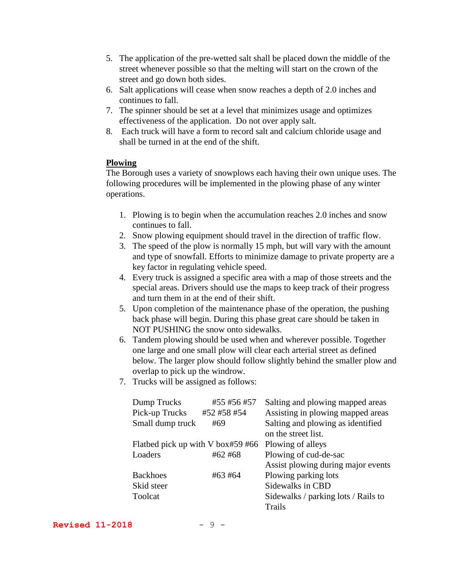- 5. The application of the pre-wetted salt shall be placed down the middle of the street whenever possible so that the melting will start on the crown of the street and go down both sides.
- 6. Salt applications will cease when snow reaches a depth of 2.0 inches and continues to fall.
- 7. The spinner should be set at a level that minimizes usage and optimizes effectiveness of the application. Do not over apply salt.
- 8. Each truck will have a form to record salt and calcium chloride usage and shall be turned in at the end of the shift.

## **Plowing**

The Borough uses a variety of snowplows each having their own unique uses. The following procedures will be implemented in the plowing phase of any winter operations.

- 1. Plowing is to begin when the accumulation reaches 2.0 inches and snow continues to fall.
- 2. Snow plowing equipment should travel in the direction of traffic flow.
- 3. The speed of the plow is normally 15 mph, but will vary with the amount and type of snowfall. Efforts to minimize damage to private property are a key factor in regulating vehicle speed.
- 4. Every truck is assigned a specific area with a map of those streets and the special areas. Drivers should use the maps to keep track of their progress and turn them in at the end of their shift.
- 5. Upon completion of the maintenance phase of the operation, the pushing back phase will begin. During this phase great care should be taken in NOT PUSHING the snow onto sidewalks.
- 6. Tandem plowing should be used when and wherever possible. Together one large and one small plow will clear each arterial street as defined below. The larger plow should follow slightly behind the smaller plow and overlap to pick up the windrow.
- 7. Trucks will be assigned as follows:

| Dump Trucks                       | #55 #56 #57 | Salting and plowing mapped areas    |
|-----------------------------------|-------------|-------------------------------------|
| Pick-up Trucks                    | #52 #58 #54 | Assisting in plowing mapped areas   |
| Small dump truck                  | #69         | Salting and plowing as identified   |
|                                   |             | on the street list.                 |
| Flatbed pick up with V box#59 #66 |             | Plowing of alleys                   |
| Loaders                           | #62 #68     | Plowing of cud-de-sac               |
|                                   |             | Assist plowing during major events  |
| <b>Backhoes</b>                   | #63 #64     | Plowing parking lots                |
| Skid steer                        |             | Sidewalks in CBD                    |
| Toolcat                           |             | Sidewalks / parking lots / Rails to |
|                                   |             | Trails                              |

**Revised 11-2018** - 9 -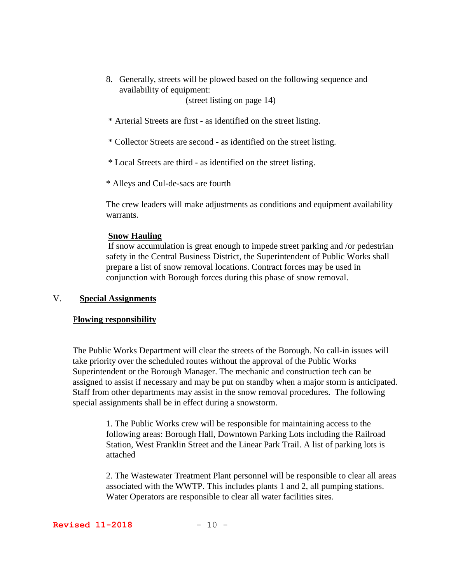8. Generally, streets will be plowed based on the following sequence and availability of equipment:

(street listing on page 14)

\* Arterial Streets are first - as identified on the street listing.

\* Collector Streets are second - as identified on the street listing.

\* Local Streets are third - as identified on the street listing.

\* Alleys and Cul-de-sacs are fourth

The crew leaders will make adjustments as conditions and equipment availability warrants.

#### **Snow Hauling**

If snow accumulation is great enough to impede street parking and /or pedestrian safety in the Central Business District, the Superintendent of Public Works shall prepare a list of snow removal locations. Contract forces may be used in conjunction with Borough forces during this phase of snow removal.

#### V. **Special Assignments**

#### P**lowing responsibility**

The Public Works Department will clear the streets of the Borough. No call-in issues will take priority over the scheduled routes without the approval of the Public Works Superintendent or the Borough Manager. The mechanic and construction tech can be assigned to assist if necessary and may be put on standby when a major storm is anticipated. Staff from other departments may assist in the snow removal procedures. The following special assignments shall be in effect during a snowstorm.

> 1. The Public Works crew will be responsible for maintaining access to the following areas: Borough Hall, Downtown Parking Lots including the Railroad Station, West Franklin Street and the Linear Park Trail. A list of parking lots is attached

2. The Wastewater Treatment Plant personnel will be responsible to clear all areas associated with the WWTP. This includes plants 1 and 2, all pumping stations. Water Operators are responsible to clear all water facilities sites.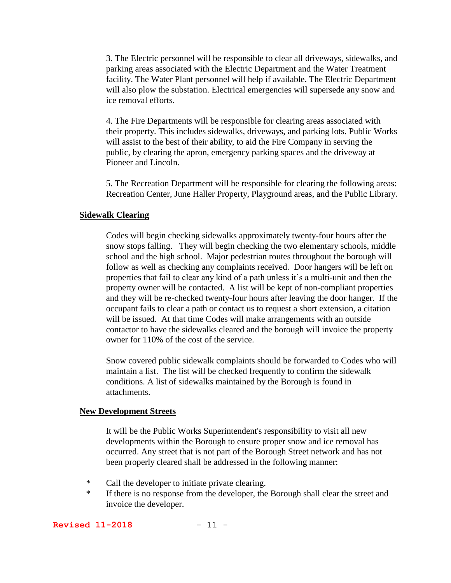3. The Electric personnel will be responsible to clear all driveways, sidewalks, and parking areas associated with the Electric Department and the Water Treatment facility. The Water Plant personnel will help if available. The Electric Department will also plow the substation. Electrical emergencies will supersede any snow and ice removal efforts.

4. The Fire Departments will be responsible for clearing areas associated with their property. This includes sidewalks, driveways, and parking lots. Public Works will assist to the best of their ability, to aid the Fire Company in serving the public, by clearing the apron, emergency parking spaces and the driveway at Pioneer and Lincoln.

5. The Recreation Department will be responsible for clearing the following areas: Recreation Center, June Haller Property, Playground areas, and the Public Library.

#### **Sidewalk Clearing**

Codes will begin checking sidewalks approximately twenty-four hours after the snow stops falling. They will begin checking the two elementary schools, middle school and the high school. Major pedestrian routes throughout the borough will follow as well as checking any complaints received. Door hangers will be left on properties that fail to clear any kind of a path unless it's a multi-unit and then the property owner will be contacted. A list will be kept of non-compliant properties and they will be re-checked twenty-four hours after leaving the door hanger. If the occupant fails to clear a path or contact us to request a short extension, a citation will be issued. At that time Codes will make arrangements with an outside contactor to have the sidewalks cleared and the borough will invoice the property owner for 110% of the cost of the service.

Snow covered public sidewalk complaints should be forwarded to Codes who will maintain a list. The list will be checked frequently to confirm the sidewalk conditions. A list of sidewalks maintained by the Borough is found in attachments.

#### **New Development Streets**

It will be the Public Works Superintendent's responsibility to visit all new developments within the Borough to ensure proper snow and ice removal has occurred. Any street that is not part of the Borough Street network and has not been properly cleared shall be addressed in the following manner:

- \* Call the developer to initiate private clearing.
- \* If there is no response from the developer, the Borough shall clear the street and invoice the developer.

**Revised 11-2018** - 11 -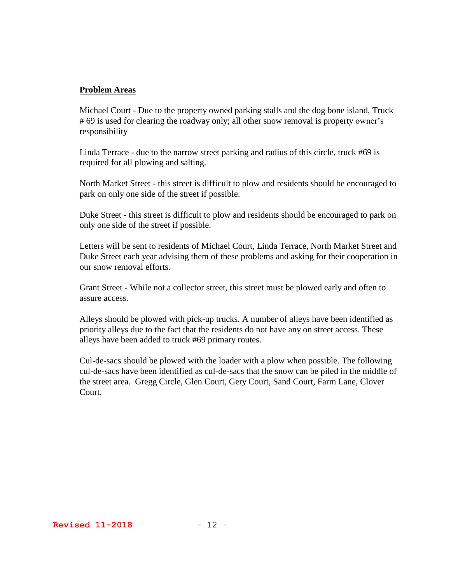#### **Problem Areas**

Michael Court - Due to the property owned parking stalls and the dog bone island, Truck # 69 is used for clearing the roadway only; all other snow removal is property owner's responsibility

Linda Terrace - due to the narrow street parking and radius of this circle, truck #69 is required for all plowing and salting.

North Market Street - this street is difficult to plow and residents should be encouraged to park on only one side of the street if possible.

Duke Street - this street is difficult to plow and residents should be encouraged to park on only one side of the street if possible.

Letters will be sent to residents of Michael Court, Linda Terrace, North Market Street and Duke Street each year advising them of these problems and asking for their cooperation in our snow removal efforts.

Grant Street - While not a collector street, this street must be plowed early and often to assure access.

Alleys should be plowed with pick-up trucks. A number of alleys have been identified as priority alleys due to the fact that the residents do not have any on street access. These alleys have been added to truck #69 primary routes.

Cul-de-sacs should be plowed with the loader with a plow when possible. The following cul-de-sacs have been identified as cul-de-sacs that the snow can be piled in the middle of the street area. Gregg Circle, Glen Court, Gery Court, Sand Court, Farm Lane, Clover Court.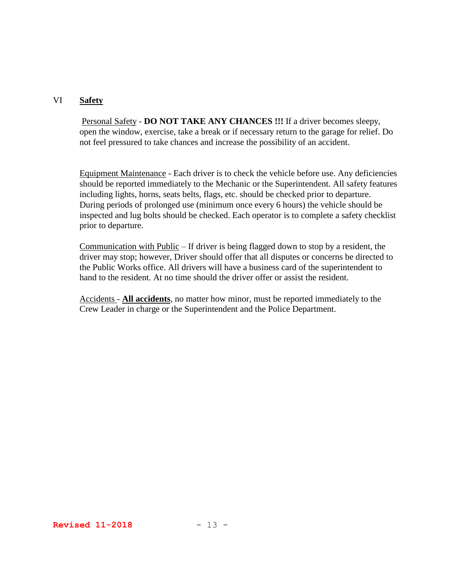#### VI **Safety**

Personal Safety - **DO NOT TAKE ANY CHANCES !!!** If a driver becomes sleepy, open the window, exercise, take a break or if necessary return to the garage for relief. Do not feel pressured to take chances and increase the possibility of an accident.

Equipment Maintenance - Each driver is to check the vehicle before use. Any deficiencies should be reported immediately to the Mechanic or the Superintendent. All safety features including lights, horns, seats belts, flags, etc. should be checked prior to departure. During periods of prolonged use (minimum once every 6 hours) the vehicle should be inspected and lug bolts should be checked. Each operator is to complete a safety checklist prior to departure.

Communication with Public – If driver is being flagged down to stop by a resident, the driver may stop; however, Driver should offer that all disputes or concerns be directed to the Public Works office. All drivers will have a business card of the superintendent to hand to the resident. At no time should the driver offer or assist the resident.

Accidents - **All accidents**, no matter how minor, must be reported immediately to the Crew Leader in charge or the Superintendent and the Police Department.